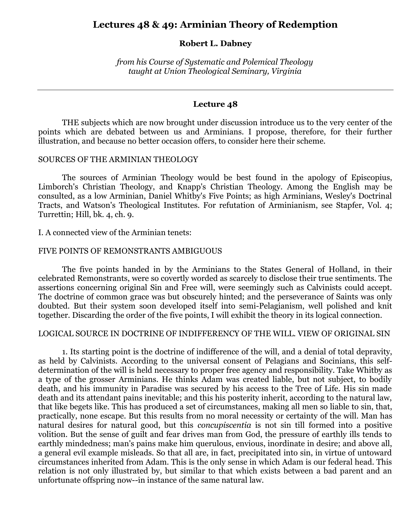# **Lectures 48 & 49: Arminian Theory of Redemption**

### **Robert L. Dabney**

*from his Course of Systematic and Polemical Theology taught at Union Theological Seminary, Virginia*

# **Lecture 48**

THE subjects which are now brought under discussion introduce us to the very center of the points which are debated between us and Arminians. I propose, therefore, for their further illustration, and because no better occasion offers, to consider here their scheme.

### SOURCES OF THE ARMINIAN THEOLOGY

The sources of Arminian Theology would be best found in the apology of Episcopius, Limborch's Christian Theology, and Knapp's Christian Theology. Among the English may be consulted, as a low Arminian, Daniel Whitby's Five Points; as high Arminians, Wesley's Doctrinal Tracts, and Watson's Theological Institutes. For refutation of Arminianism, see Stapfer, Vol. 4; Turrettin; Hill, bk. 4, ch. 9.

I. A connected view of the Arminian tenets:

# FIVE POINTS OF REMONSTRANTS AMBIGUOUS

The five points handed in by the Arminians to the States General of Holland, in their celebrated Remonstrants, were so covertly worded as scarcely to disclose their true sentiments. The assertions concerning original Sin and Free will, were seemingly such as Calvinists could accept. The doctrine of common grace was but obscurely hinted; and the perseverance of Saints was only doubted. But their system soon developed itself into semi-Pelagianism, well polished and knit together. Discarding the order of the five points, I will exhibit the theory in its logical connection.

# LOGICAL SOURCE IN DOCTRINE OF INDIFFERENCY OF THE WILL. VIEW OF ORIGINAL SIN

1. Its starting point is the doctrine of indifference of the will, and a denial of total depravity, as held by Calvinists. According to the universal consent of Pelagians and Socinians, this selfdetermination of the will is held necessary to proper free agency and responsibility. Take Whitby as a type of the grosser Arminians. He thinks Adam was created liable, but not subject, to bodily death, and his immunity in Paradise was secured by his access to the Tree of Life. His sin made death and its attendant pains inevitable; and this his posterity inherit, according to the natural law, that like begets like. This has produced a set of circumstances, making all men so liable to sin, that, practically, none escape. But this results from no moral necessity or certainty of the will. Man has natural desires for natural good, but this *concupiscentia* is not sin till formed into a positive volition. But the sense of guilt and fear drives man from God, the pressure of earthly ills tends to earthly mindedness; man's pains make him querulous, envious, inordinate in desire; and above all, a general evil example misleads. So that all are, in fact, precipitated into sin, in virtue of untoward circumstances inherited from Adam. This is the only sense in which Adam is our federal head. This relation is not only illustrated by, but similar to that which exists between a bad parent and an unfortunate offspring now--in instance of the same natural law.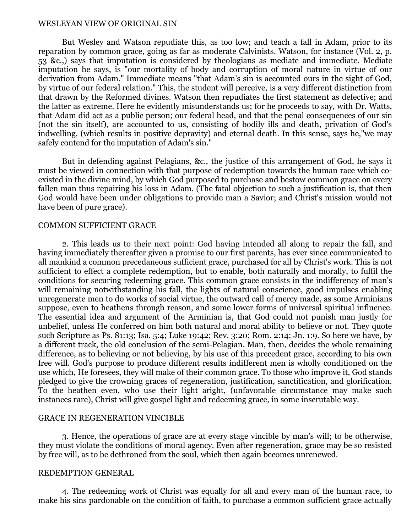#### WESLEYAN VIEW OF ORIGINAL SIN

But Wesley and Watson repudiate this, as too low; and teach a fall in Adam, prior to its reparation by common grace, going as far as moderate Calvinists. Watson, for instance (Vol. 2, p. 53 &c.,) says that imputation is considered by theologians as mediate and immediate. Mediate imputation he says, is "our mortality of body and corruption of moral nature in virtue of our derivation from Adam." Immediate means "that Adam's sin is accounted ours in the sight of God, by virtue of our federal relation." This, the student will perceive, is a very different distinction from that drawn by the Reformed divines. Watson then repudiates the first statement as defective; and the latter as extreme. Here he evidently misunderstands us; for he proceeds to say, with Dr. Watts, that Adam did act as a public person; our federal head, and that the penal consequences of our sin (not the sin itself), are accounted to us, consisting of bodily ills and death, privation of God's indwelling, (which results in positive depravity) and eternal death. In this sense, says he,"we may safely contend for the imputation of Adam's sin."

But in defending against Pelagians, &c., the justice of this arrangement of God, he says it must be viewed in connection with that purpose of redemption towards the human race which coexisted in the divine mind, by which God purposed to purchase and bestow common grace on every fallen man thus repairing his loss in Adam. (The fatal objection to such a justification is, that then God would have been under obligations to provide man a Savior; and Christ's mission would not have been of pure grace).

### COMMON SUFFICIENT GRACE

2. This leads us to their next point: God having intended all along to repair the fall, and having immediately thereafter given a promise to our first parents, has ever since communicated to all mankind a common precedaneous sufficient grace, purchased for all by Christ's work. This is not sufficient to effect a complete redemption, but to enable, both naturally and morally, to fulfil the conditions for securing redeeming grace. This common grace consists in the indifferency of man's will remaining notwithstanding his fall, the lights of natural conscience, good impulses enabling unregenerate men to do works of social virtue, the outward call of mercy made, as some Arminians suppose, even to heathens through reason, and some lower forms of universal spiritual influence. The essential idea and argument of the Arminian is, that God could not punish man justly for unbelief, unless He conferred on him both natural and moral ability to believe or not. They quote such Scripture as Ps. 81:13; Isa. 5:4; Luke 19:42; Rev. 3:20; Rom. 2:14; Jn. 1:9. So here we have, by a different track, the old conclusion of the semi-Pelagian. Man, then, decides the whole remaining difference, as to believing or not believing, by his use of this precedent grace, according to his own free will. God's purpose to produce different results indifferent men is wholly conditioned on the use which, He foresees, they will make of their common grace. To those who improve it, God stands pledged to give the crowning graces of regeneration, justification, sanctification, and glorification. To the heathen even, who use their light aright, (unfavorable circumstance may make such instances rare), Christ will give gospel light and redeeming grace, in some inscrutable way.

# GRACE IN REGENERATION VINCIBLE

3. Hence, the operations of grace are at every stage vincible by man's will; to be otherwise, they must violate the conditions of moral agency. Even after regeneration, grace may be so resisted by free will, as to be dethroned from the soul, which then again becomes unrenewed.

# REDEMPTION GENERAL

4. The redeeming work of Christ was equally for all and every man of the human race, to make his sins pardonable on the condition of faith, to purchase a common sufficient grace actually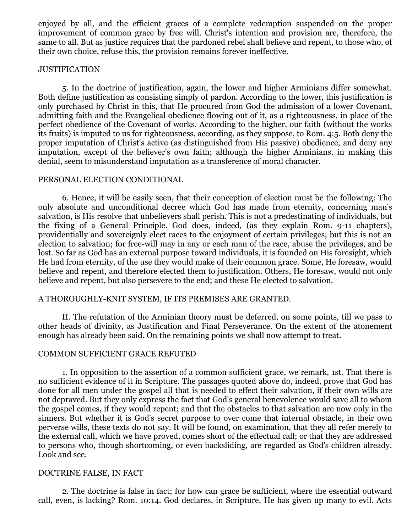enjoyed by all, and the efficient graces of a complete redemption suspended on the proper improvement of common grace by free will. Christ's intention and provision are, therefore, the same to all. But as justice requires that the pardoned rebel shall believe and repent, to those who, of their own choice, refuse this, the provision remains forever ineffective.

### **JUSTIFICATION**

5. In the doctrine of justification, again, the lower and higher Arminians differ somewhat. Both define justification as consisting simply of pardon. According to the lower, this justification is only purchased by Christ in this, that He procured from God the admission of a lower Covenant, admitting faith and the Evangelical obedience flowing out of it, as a righteousness, in place of the perfect obedience of the Covenant of works. According to the higher, our faith (without the works its fruits) is imputed to us for righteousness, according, as they suppose, to Rom. 4:5. Both deny the proper imputation of Christ's active (as distinguished from His passive) obedience, and deny any imputation, except of the believer's own faith; although the higher Arminians, in making this denial, seem to misunderstand imputation as a transference of moral character.

#### PERSONAL ELECTION CONDITIONAL

6. Hence, it will be easily seen, that their conception of election must be the following: The only absolute and unconditional decree which God has made from eternity, concerning man's salvation, is His resolve that unbelievers shall perish. This is not a predestinating of individuals, but the fixing of a General Principle. God does, indeed, (as they explain Rom. 9-11 chapters), providentially and sovereignly elect races to the enjoyment of certain privileges; but this is not an election to salvation; for free-will may in any or each man of the race, abuse the privileges, and be lost. So far as God has an external purpose toward individuals, it is founded on His foresight, which He had from eternity, of the use they would make of their common grace. Some, He foresaw, would believe and repent, and therefore elected them to justification. Others, He foresaw, would not only believe and repent, but also persevere to the end; and these He elected to salvation.

# A THOROUGHLY-KNIT SYSTEM, IF ITS PREMISES ARE GRANTED.

II. The refutation of the Arminian theory must be deferred, on some points, till we pass to other heads of divinity, as Justification and Final Perseverance. On the extent of the atonement enough has already been said. On the remaining points we shall now attempt to treat.

#### COMMON SUFFICIENT GRACE REFUTED

1. In opposition to the assertion of a common sufficient grace, we remark, 1st. That there is no sufficient evidence of it in Scripture. The passages quoted above do, indeed, prove that God has done for all men under the gospel all that is needed to effect their salvation, if their own wills are not depraved. But they only express the fact that God's general benevolence would save all to whom the gospel comes, if they would repent; and that the obstacles to that salvation are now only in the sinners. But whether it is God's secret purpose to over come that internal obstacle, in their own perverse wills, these texts do not say. It will be found, on examination, that they all refer merely to the external call, which we have proved, comes short of the effectual call; or that they are addressed to persons who, though shortcoming, or even backsliding, are regarded as God's children already. Look and see.

#### DOCTRINE FALSE, IN FACT

2. The doctrine is false in fact; for how can grace be sufficient, where the essential outward call, even, is lacking? Rom. 10:14. God declares, in Scripture, He has given up many to evil. Acts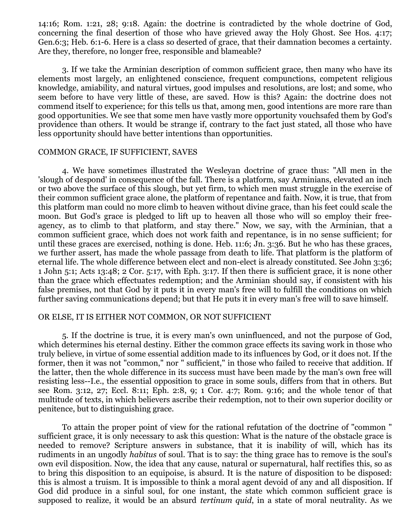14:16; Rom. 1:21, 28; 9:18. Again: the doctrine is contradicted by the whole doctrine of God, concerning the final desertion of those who have grieved away the Holy Ghost. See Hos. 4:17; Gen.6:3; Heb. 6:1-6. Here is a class so deserted of grace, that their damnation becomes a certainty. Are they, therefore, no longer free, responsible and blameable?

3. If we take the Arminian description of common sufficient grace, then many who have its elements most largely, an enlightened conscience, frequent compunctions, competent religious knowledge, amiability, and natural virtues, good impulses and resolutions, are lost; and some, who seem before to have very little of these, are saved. How is this? Again: the doctrine does not commend itself to experience; for this tells us that, among men, good intentions are more rare than good opportunities. We see that some men have vastly more opportunity vouchsafed them by God's providence than others. It would be strange if, contrary to the fact just stated, all those who have less opportunity should have better intentions than opportunities.

### COMMON GRACE, IF SUFFICIENT, SAVES

4. We have sometimes illustrated the Wesleyan doctrine of grace thus: "All men in the 'slough of despond' in consequence of the fall. There is a platform, say Arminians, elevated an inch or two above the surface of this slough, but yet firm, to which men must struggle in the exercise of their common sufficient grace alone, the platform of repentance and faith. Now, it is true, that from this platform man could no more climb to heaven without divine grace, than his feet could scale the moon. But God's grace is pledged to lift up to heaven all those who will so employ their freeagency, as to climb to that platform, and stay there." Now, we say, with the Arminian, that a common sufficient grace, which does not work faith and repentance, is in no sense sufficient; for until these graces are exercised, nothing is done. Heb. 11:6; Jn. 3:36. But he who has these graces, we further assert, has made the whole passage from death to life. That platform is the platform of eternal life. The whole difference between elect and non-elect is already constituted. See John 3:36; 1 John 5:1; Acts 13:48; 2 Cor. 5:17, with Eph. 3:17. If then there is sufficient grace, it is none other than the grace which effectuates redemption; and the Arminian should say, if consistent with his false premises, not that God by it puts it in every man's free will to fulfill the conditions on which further saving communications depend; but that He puts it in every man's free will to save himself.

#### OR ELSE, IT IS EITHER NOT COMMON, OR NOT SUFFICIENT

5. If the doctrine is true, it is every man's own uninfluenced, and not the purpose of God, which determines his eternal destiny. Either the common grace effects its saving work in those who truly believe, in virtue of some essential addition made to its influences by God, or it does not. If the former, then it was not "common," nor " sufficient," in those who failed to receive that addition. If the latter, then the whole difference in its success must have been made by the man's own free will resisting less--I.e., the essential opposition to grace in some souls, differs from that in others. But see Rom. 3:12, 27; Eccl. 8:11; Eph. 2:8, 9; 1 Cor. 4:7; Rom. 9:16; and the whole tenor of that multitude of texts, in which believers ascribe their redemption, not to their own superior docility or penitence, but to distinguishing grace.

To attain the proper point of view for the rational refutation of the doctrine of "common " sufficient grace, it is only necessary to ask this question: What is the nature of the obstacle grace is needed to remove? Scripture answers in substance, that it is inability of will, which has its rudiments in an ungodly *habitus* of soul. That is to say: the thing grace has to remove is the soul's own evil disposition. Now, the idea that any cause, natural or supernatural, half rectifies this, so as to bring this disposition to an equipoise, is absurd. It is the nature of disposition to be disposed: this is almost a truism. It is impossible to think a moral agent devoid of any and all disposition. If God did produce in a sinful soul, for one instant, the state which common sufficient grace is supposed to realize, it would be an absurd *tertinum quid*, in a state of moral neutrality. As we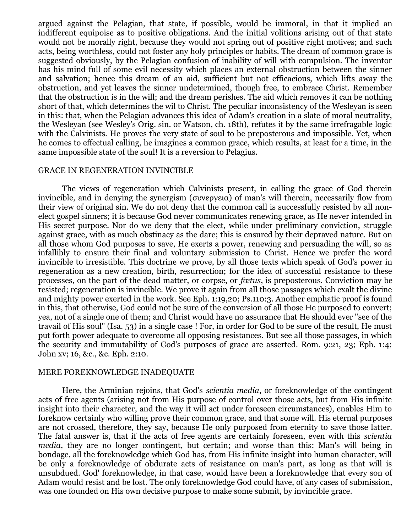argued against the Pelagian, that state, if possible, would be immoral, in that it implied an indifferent equipoise as to positive obligations. And the initial volitions arising out of that state would not be morally right, because they would not spring out of positive right motives; and such acts, being worthless, could not foster any holy principles or habits. The dream of common grace is suggested obviously, by the Pelagian confusion of inability of will with compulsion. The inventor has his mind full of some evil necessity which places an external obstruction between the sinner and salvation; hence this dream of an aid, sufficient but not efficacious, which lifts away the obstruction, and yet leaves the sinner undetermined, though free, to embrace Christ. Remember that the obstruction is in the will; and the dream perishes. The aid which removes it can be nothing short of that, which determines the wil to Christ. The peculiar inconsistency of the Wesleyan is seen in this: that, when the Pelagian advances this idea of Adam's creation in a slate of moral neutrality, the Wesleyan (see Wesley's Orig. sin. or Watson, ch. 18th), refutes it by the same irrefragable logic with the Calvinists. He proves the very state of soul to be preposterous and impossible. Yet, when he comes to effectual calling, he imagines a common grace, which results, at least for a time, in the same impossible state of the soul! It is a reversion to Pelagius.

# GRACE IN REGENERATION INVINCIBLE

The views of regeneration which Calvinists present, in calling the grace of God therein invincible, and in denying the synergism (συνεργεια) of man's will therein, necessarily flow from their view of original sin. We do not deny that the common call is successfully resisted by all nonelect gospel sinners; it is because God never communicates renewing grace, as He never intended in His secret purpose. Nor do we deny that the elect, while under preliminary conviction, struggle against grace, with as much obstinacy as the dare; this is ensured by their depraved nature. But on all those whom God purposes to save, He exerts a power, renewing and persuading the will, so as infallibly to ensure their final and voluntary submission to Christ. Hence we prefer the word invincible to irresistible. This doctrine we prove, by all those texts which speak of God's power in regeneration as a new creation, birth, resurrection; for the idea of successful resistance to these processes, on the part of the dead matter, or corpse, or *fœtus*, is preposterous. Conviction may be resisted; regeneration is invincible. We prove it again from all those passages which exalt the divine and mighty power exerted in the work. See Eph. 1:19,20; Ps.110:3. Another emphatic proof is found in this, that otherwise, God could not be sure of the conversion of all those He purposed to convert; yea, not of a single one of them; and Christ would have no assurance that He should ever "see of the travail of His soul" (Isa. 53) in a single case ! For, in order for God to be sure of the result, He must put forth power adequate to overcome all opposing resistances. But see all those passages, in which the security and immutability of God's purposes of grace are asserted. Rom. 9:21, 23; Eph. 1:4; John xv; 16, &c., &c. Eph. 2:10.

#### MERE FOREKNOWLEDGE INADEQUATE

Here, the Arminian rejoins, that God's *scientia media*, or foreknowledge of the contingent acts of free agents (arising not from His purpose of control over those acts, but from His infinite insight into their character, and the way it will act under foreseen circumstances), enables Him to foreknow certainly who willing prove their common grace, and that some will. His eternal purposes are not crossed, therefore, they say, because He only purposed from eternity to save those latter. The fatal answer is, that if the acts of free agents are certainly foreseen, even with this *scientia media*, they are no longer contingent, but certain; and worse than this: Man's will being in bondage, all the foreknowledge which God has, from His infinite insight into human character, will be only a foreknowledge of obdurate acts of resistance on man's part, as long as that will is unsubdued. God' foreknowledge, in that case, would have been a foreknowledge that every son of Adam would resist and be lost. The only foreknowledge God could have, of any cases of submission, was one founded on His own decisive purpose to make some submit, by invincible grace.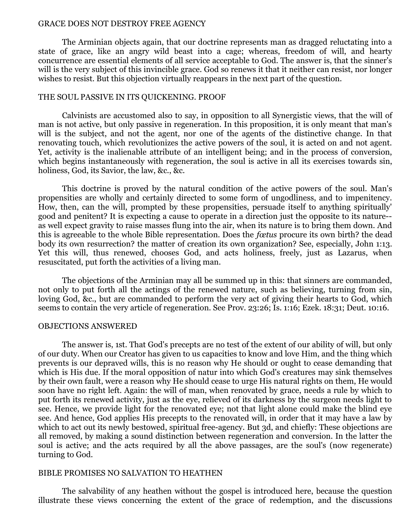#### GRACE DOES NOT DESTROY FREE AGENCY

The Arminian objects again, that our doctrine represents man as dragged reluctating into a state of grace, like an angry wild beast into a cage; whereas, freedom of will, and hearty concurrence are essential elements of all service acceptable to God. The answer is, that the sinner's will is the very subject of this invincible grace. God so renews it that it neither can resist, nor longer wishes to resist. But this objection virtually reappears in the next part of the question.

# THE SOUL PASSIVE IN ITS QUICKENING. PROOF

Calvinists are accustomed also to say, in opposition to all Synergistic views, that the will of man is not active, but only passive in regeneration. In this proposition, it is only meant that man's will is the subject, and not the agent, nor one of the agents of the distinctive change. In that renovating touch, which revolutionizes the active powers of the soul, it is acted on and not agent. Yet, activity is the inalienable attribute of an intelligent being; and in the process of conversion, which begins instantaneously with regeneration, the soul is active in all its exercises towards sin, holiness, God, its Savior, the law, &c., &c.

This doctrine is proved by the natural condition of the active powers of the soul. Man's propensities are wholly and certainly directed to some form of ungodliness, and to impenitency. How, then, can the will, prompted by these propensities, persuade itself to anything spiritually' good and penitent? It is expecting a cause to operate in a direction just the opposite to its nature- as well expect gravity to raise masses flung into the air, when its nature is to bring them down. And this is agreeable to the whole Bible representation. Does the *fœtus* procure its own birth? the dead body its own resurrection? the matter of creation its own organization? See, especially, John 1:13. Yet this will, thus renewed, chooses God, and acts holiness, freely, just as Lazarus, when resuscitated, put forth the activities of a living man.

The objections of the Arminian may all be summed up in this: that sinners are commanded, not only to put forth all the actings of the renewed nature, such as believing, turning from sin, loving God, &c., but are commanded to perform the very act of giving their hearts to God, which seems to contain the very article of regeneration. See Prov. 23:26; Is. 1:16; Ezek. 18:31; Deut. 10:16.

#### OBJECTIONS ANSWERED

The answer is, 1st. That God's precepts are no test of the extent of our ability of will, but only of our duty. When our Creator has given to us capacities to know and love Him, and the thing which prevents is our depraved wills, this is no reason why He should or ought to cease demanding that which is His due. If the moral opposition of natur into which God's creatures may sink themselves by their own fault, were a reason why He should cease to urge His natural rights on them, He would soon have no right left. Again: the will of man, when renovated by grace, needs a rule by which to put forth its renewed activity, just as the eye, relieved of its darkness by the surgeon needs light to see. Hence, we provide light for the renovated eye; not that light alone could make the blind eye see. And hence, God applies His precepts to the renovated will, in order that it may have a law by which to act out its newly bestowed, spiritual free-agency. But 3d, and chiefly: These objections are all removed, by making a sound distinction between regeneration and conversion. In the latter the soul is active; and the acts required by all the above passages, are the soul's (now regenerate) turning to God.

### BIBLE PROMISES NO SALVATION TO HEATHEN

The salvability of any heathen without the gospel is introduced here, because the question illustrate these views concerning the extent of the grace of redemption, and the discussions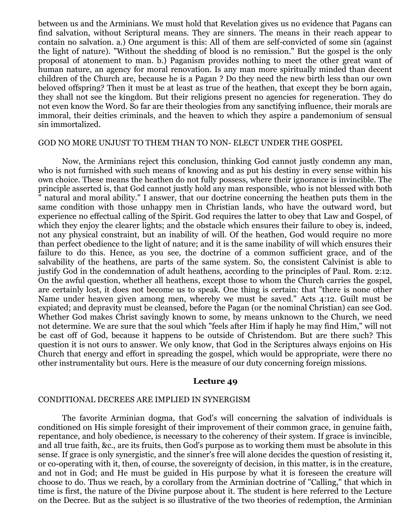between us and the Arminians. We must hold that Revelation gives us no evidence that Pagans can find salvation, without Scriptural means. They are sinners. The means in their reach appear to contain no salvation. a.) One argument is this: All of them are self-convicted of some sin (against the light of nature). "Without the shedding of blood is no remission." But the gospel is the only proposal of atonement to man. b.) Paganism provides nothing to meet the other great want of human nature, an agency for moral renovation. Is any man more spiritually minded than decent children of the Church are, because he is a Pagan ? Do they need the new birth less than our own beloved offspring? Then it must be at least as true of the heathen, that except they be born again, they shall not see the kingdom. But their religions present no agencies for regeneration. They do not even know the Word. So far are their theologies from any sanctifying influence, their morals are immoral, their deities criminals, and the heaven to which they aspire a pandemonium of sensual sin immortalized.

### GOD NO MORE UNJUST TO THEM THAN TO NON- ELECT UNDER THE GOSPEL

Now, the Arminians reject this conclusion, thinking God cannot justly condemn any man, who is not furnished with such means of knowing and as put his destiny in every sense within his own choice. These means the heathen do not fully possess, where their ignorance is invincible. The principle asserted is, that God cannot justly hold any man responsible, who is not blessed with both natural and moral ability." I answer, that our doctrine concerning the heathen puts them in the same condition with those unhappy men in Christian lands, who have the outward word, but experience no effectual calling of the Spirit. God requires the latter to obey that Law and Gospel, of which they enjoy the clearer lights; and the obstacle which ensures their failure to obey is, indeed, not any physical constraint, but an inability of will. Of the heathen, God would require no more than perfect obedience to the light of nature; and it is the same inability of will which ensures their failure to do this. Hence, as you see, the doctrine of a common sufficient grace, and of the salvability of the heathens, are parts of the same system. So, the consistent Calvinist is able to justify God in the condemnation of adult heathens, according to the principles of Paul. Rom. 2:12. On the awful question, whether all heathens, except those to whom the Church carries the gospel, are certainly lost, it does not become us to speak. One thing is certain: that "there is none other Name under heaven given among men, whereby we must be saved." Acts 4:12. Guilt must be expiated; and depravity must be cleansed, before the Pagan (or the nominal Christian) can see God. Whether God makes Christ savingly known to some, by means unknown to the Church, we need not determine. We are sure that the soul which "feels after Him if haply he may find Him," will not be cast off of God, because it happens to be outside of Christendom. But are there such? This question it is not ours to answer. We only know, that God in the Scriptures always enjoins on His Church that energy and effort in spreading the gospel, which would be appropriate, were there no other instrumentality but ours. Here is the measure of our duty concerning foreign missions.

# **Lecture 49**

# CONDITIONAL DECREES ARE IMPLIED IN SYNERGISM

The favorite Arminian dogma, that God's will concerning the salvation of individuals is conditioned on His simple foresight of their improvement of their common grace, in genuine faith, repentance, and holy obedience, is necessary to the coherency of their system. If grace is invincible, and all true faith, &c., are its fruits, then God's purpose as to working them must be absolute in this sense. If grace is only synergistic, and the sinner's free will alone decides the question of resisting it, or co-operating with it, then, of course, the sovereignty of decision, in this matter, is in the creature, and not in God; and He must be guided in His purpose by what it is foreseen the creature will choose to do. Thus we reach, by a corollary from the Arminian doctrine of "Calling," that which in time is first, the nature of the Divine purpose about it. The student is here referred to the Lecture on the Decree. But as the subject is so illustrative of the two theories of redemption, the Arminian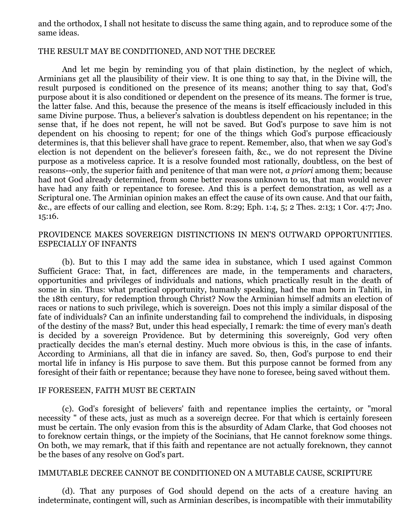and the orthodox, I shall not hesitate to discuss the same thing again, and to reproduce some of the same ideas.

#### THE RESULT MAY BE CONDITIONED, AND NOT THE DECREE

And let me begin by reminding you of that plain distinction, by the neglect of which, Arminians get all the plausibility of their view. It is one thing to say that, in the Divine will, the result purposed is conditioned on the presence of its means; another thing to say that, God's purpose about it is also conditioned or dependent on the presence of its means. The former is true, the latter false. And this, because the presence of the means is itself efficaciously included in this same Divine purpose. Thus, a believer's salvation is doubtless dependent on his repentance; in the sense that, if he does not repent, he will not be saved. But God's purpose to save him is not dependent on his choosing to repent; for one of the things which God's purpose efficaciously determines is, that this believer shall have grace to repent. Remember, also, that when we say God's election is not dependent on the believer's foreseen faith, &c., we do not represent the Divine purpose as a motiveless caprice. It is a resolve founded most rationally, doubtless, on the best of reasons--only, the superior faith and penitence of that man were not, *a priori* among them; because had not God already determined, from some better reasons unknown to us, that man would never have had any faith or repentance to foresee. And this is a perfect demonstration, as well as a Scriptural one. The Arminian opinion makes an effect the cause of its own cause. And that our faith, &c., are effects of our calling and election, see Rom. 8:29; Eph. 1:4, 5; 2 Thes. 2:13; 1 Cor. 4:7; Jno. 15:16.

# PROVIDENCE MAKES SOVEREIGN DISTINCTIONS IN MEN'S OUTWARD OPPORTUNITIES. ESPECIALLY OF INFANTS

(b). But to this I may add the same idea in substance, which I used against Common Sufficient Grace: That, in fact, differences are made, in the temperaments and characters, opportunities and privileges of individuals and nations, which practically result in the death of some in sin. Thus: what practical opportunity, humanly speaking, had the man born in Tahiti, in the 18th century, for redemption through Christ? Now the Arminian himself admits an election of races or nations to such privilege, which is sovereign. Does not this imply a similar disposal of the fate of individuals? Can an infinite understanding fail to comprehend the individuals, in disposing of the destiny of the mass? But, under this head especially, I remark: the time of every man's death is decided by a sovereign Providence. But by determining this sovereignly, God very often practically decides the man's eternal destiny. Much more obvious is this, in the case of infants. According to Arminians, all that die in infancy are saved. So, then, God's purpose to end their mortal life in infancy is His purpose to save them. But this purpose cannot be formed from any foresight of their faith or repentance; because they have none to foresee, being saved without them.

#### IF FORESEEN, FAITH MUST BE CERTAIN

(c). God's foresight of believers' faith and repentance implies the certainty, or "moral necessity " of these acts, just as much as a sovereign decree. For that which is certainly foreseen must be certain. The only evasion from this is the absurdity of Adam Clarke, that God chooses not to foreknow certain things, or the impiety of the Socinians, that He cannot foreknow some things. On both, we may remark, that if this faith and repentance are not actually foreknown, they cannot be the bases of any resolve on God's part.

### IMMUTABLE DECREE CANNOT BE CONDITIONED ON A MUTABLE CAUSE, SCRIPTURE

(d). That any purposes of God should depend on the acts of a creature having an indeterminate, contingent will, such as Arminian describes, is incompatible with their immutability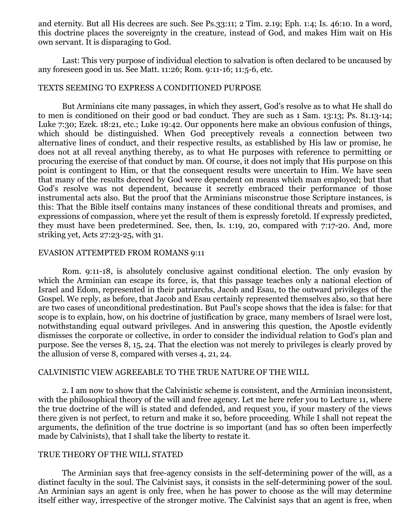and eternity. But all His decrees are such. See Ps.33:11; 2 Tim. 2.19; Eph. 1:4; Is. 46:10. In a word, this doctrine places the sovereignty in the creature, instead of God, and makes Him wait on His own servant. It is disparaging to God.

Last: This very purpose of individual election to salvation is often declared to be uncaused by any foreseen good in us. See Matt. 11:26; Rom. 9:11-16; 11:5-6, etc.

# TEXTS SEEMING TO EXPRESS A CONDITIONED PURPOSE

But Arminians cite many passages, in which they assert, God's resolve as to what He shall do to men is conditioned on their good or bad conduct. They are such as 1 Sam. 13:13; Ps. 81.13-14; Luke 7:30; Ezek. 18:21, etc.; Luke 19:42. Our opponents here make an obvious confusion of things, which should be distinguished. When God preceptively reveals a connection between two alternative lines of conduct, and their respective results, as established by His law or promise, he does not at all reveal anything thereby, as to what He purposes with reference to permitting or procuring the exercise of that conduct by man. Of course, it does not imply that His purpose on this point is contingent to Him, or that the consequent results were uncertain to Him. We have seen that many of the results decreed by God were dependent on means which man employed; but that God's resolve was not dependent, because it secretly embraced their performance of those instrumental acts also. But the proof that the Arminians misconstrue those Scripture instances, is this: That the Bible itself contains many instances of these conditional threats and promises, and expressions of compassion, where yet the result of them is expressly foretold. If expressly predicted, they must have been predetermined. See, then, Is. 1:19, 20, compared with 7:17-20. And, more striking yet, Acts 27:23-25, with 31.

# EVASION ATTEMPTED FROM ROMANS 9:11

Rom. 9:11-18, is absolutely conclusive against conditional election. The only evasion by which the Arminian can escape its force, is, that this passage teaches only a national election of Israel and Edom, represented in their patriarchs, Jacob and Esau, to the outward privileges of the Gospel. We reply, as before, that Jacob and Esau certainly represented themselves also, so that here are two cases of unconditional predestination. But Paul's scope shows that the idea is false: for that scope is to explain, how, on his doctrine of justification by grace, many members of Israel were lost, notwithstanding equal outward privileges. And in answering this question, the Apostle evidently dismisses the corporate or collective, in order to consider the individual relation to God's plan and purpose. See the verses 8, 15, 24. That the election was not merely to privileges is clearly proved by the allusion of verse 8, compared with verses 4, 21, 24.

## CALVINISTIC VIEW AGREEABLE TO THE TRUE NATURE OF THE WILL

2. I am now to show that the Calvinistic scheme is consistent, and the Arminian inconsistent, with the philosophical theory of the will and free agency. Let me here refer you to Lecture 11, where the true doctrine of the will is stated and defended, and request you, if your mastery of the views there given is not perfect, to return and make it so, before proceeding. While I shall not repeat the arguments, the definition of the true doctrine is so important (and has so often been imperfectly made by Calvinists), that I shall take the liberty to restate it.

# TRUE THEORY OF THE WILL STATED

The Arminian says that free-agency consists in the self-determining power of the will, as a distinct faculty in the soul. The Calvinist says, it consists in the self-determining power of the soul. An Arminian says an agent is only free, when he has power to choose as the will may determine itself either way, irrespective of the stronger motive. The Calvinist says that an agent is free, when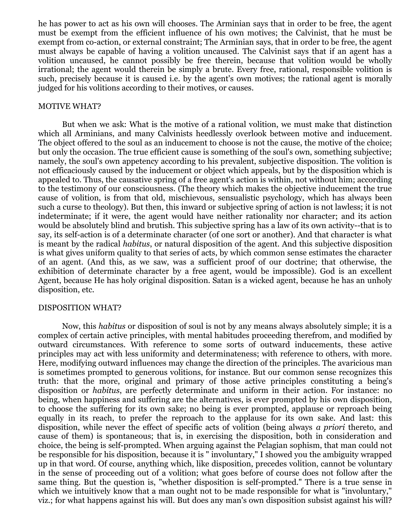he has power to act as his own will chooses. The Arminian says that in order to be free, the agent must be exempt from the efficient influence of his own motives; the Calvinist, that he must be exempt from co-action, or external constraint; The Arminian says, that in order to be free, the agent must always be capable of having a volition uncaused. The Calvinist says that if an agent has a volition uncaused, he cannot possibly be free therein, because that volition would be wholly irrational; the agent would therein be simply a brute. Every free, rational, responsible volition is such, precisely because it is caused i.e. by the agent's own motives; the rational agent is morally judged for his volitions according to their motives, or causes.

#### MOTIVE WHAT?

But when we ask: What is the motive of a rational volition, we must make that distinction which all Arminians, and many Calvinists heedlessly overlook between motive and inducement. The object offered to the soul as an inducement to choose is not the cause, the motive of the choice; but only the occasion. The true efficient cause is something of the soul's own, something subjective; namely, the soul's own appetency according to his prevalent, subjective disposition. The volition is not efficaciously caused by the inducement or object which appeals, but by the disposition which is appealed to. Thus, the causative spring of a free agent's action is within, not without him; according to the testimony of our consciousness. (The theory which makes the objective inducement the true cause of volition, is from that old, mischievous, sensualistic psychology, which has always been such a curse to theology). But then, this inward or subjective spring of action is not lawless; it is not indeterminate; if it were, the agent would have neither rationality nor character; and its action would be absolutely blind and brutish. This subjective spring has a law of its own activity--that is to say, its self-action is of a determinate character (of one sort or another). And that character is what is meant by the radical *habitus*, or natural disposition of the agent. And this subjective disposition is what gives uniform quality to that series of acts, by which common sense estimates the character of an agent. (And this, as we saw, was a sufficient proof of our doctrine; that otherwise, the exhibition of determinate character by a free agent, would be impossible). God is an excellent Agent, because He has holy original disposition. Satan is a wicked agent, because he has an unholy disposition, etc.

# DISPOSITION WHAT?

Now, this *habitus* or disposition of soul is not by any means always absolutely simple; it is a complex of certain active principles, with mental habitudes proceeding therefrom, and modified by outward circumstances. With reference to some sorts of outward inducements, these active principles may act with less uniformity and determinateness; with reference to others, with more. Here, modifying outward influences may change the direction of the principles. The avaricious man is sometimes prompted to generous volitions, for instance. But our common sense recognizes this truth: that the more, original and primary of those active principles constituting a being's disposition or *habitus*, are perfectly determinate and uniform in their action. For instance: no being, when happiness and suffering are the alternatives, is ever prompted by his own disposition, to choose the suffering for its own sake; no being is ever prompted, applause or reproach being equally in its reach, to prefer the reproach to the applause for its own sake. And last: this disposition, while never the effect of specific acts of volition (being always *a priori* thereto, and cause of them) is spontaneous; that is, in exercising the disposition, both in consideration and choice, the being is self-prompted. When arguing against the Pelagian sophism, that man could not be responsible for his disposition, because it is " involuntary," I showed you the ambiguity wrapped up in that word. Of course, anything which, like disposition, precedes volition, cannot be voluntary in the sense of proceeding out of a volition; what goes before of course does not follow after the same thing. But the question is, "whether disposition is self-prompted." There is a true sense in which we intuitively know that a man ought not to be made responsible for what is "involuntary," viz.; for what happens against his will. But does any man's own disposition subsist against his will?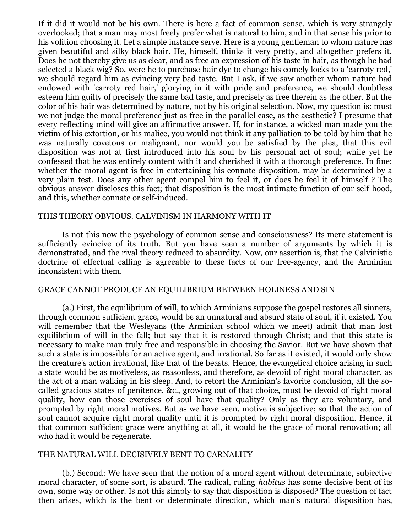If it did it would not be his own. There is here a fact of common sense, which is very strangely overlooked; that a man may most freely prefer what is natural to him, and in that sense his prior to his volition choosing it. Let a simple instance serve. Here is a young gentleman to whom nature has given beautiful and silky black hair. He, himself, thinks it very pretty, and altogether prefers it. Does he not thereby give us as clear, and as free an expression of his taste in hair, as though he had selected a black wig? So, were he to purchase hair dye to change his comely locks to a 'carroty red,' we should regard him as evincing very bad taste. But I ask, if we saw another whom nature had endowed with 'carroty red hair,' glorying in it with pride and preference, we should doubtless esteem him guilty of precisely the same bad taste, and precisely as free therein as the other. But the color of his hair was determined by nature, not by his original selection. Now, my question is: must we not judge the moral preference just as free in the parallel case, as the aesthetic? I presume that every reflecting mind will give an affirmative answer. If, for instance, a wicked man made you the victim of his extortion, or his malice, you would not think it any palliation to be told by him that he was naturally covetous or malignant, nor would you be satisfied by the plea, that this evil disposition was not at first introduced into his soul by his personal act of soul; while yet he confessed that he was entirely content with it and cherished it with a thorough preference. In fine: whether the moral agent is free in entertaining his connate disposition, may be determined by a very plain test. Does any other agent compel him to feel it, or does he feel it of himself ? The obvious answer discloses this fact; that disposition is the most intimate function of our self-hood, and this, whether connate or self-induced.

#### THIS THEORY OBVIOUS. CALVINISM IN HARMONY WITH IT

Is not this now the psychology of common sense and consciousness? Its mere statement is sufficiently evincive of its truth. But you have seen a number of arguments by which it is demonstrated, and the rival theory reduced to absurdity. Now, our assertion is, that the Calvinistic doctrine of effectual calling is agreeable to these facts of our free-agency, and the Arminian inconsistent with them.

# GRACE CANNOT PRODUCE AN EQUILIBRIUM BETWEEN HOLINESS AND SIN

(a.) First, the equilibrium of will, to which Arminians suppose the gospel restores all sinners, through common sufficient grace, would be an unnatural and absurd state of soul, if it existed. You will remember that the Wesleyans (the Arminian school which we meet) admit that man lost equilibrium of will in the fall; but say that it is restored through Christ; and that this state is necessary to make man truly free and responsible in choosing the Savior. But we have shown that such a state is impossible for an active agent, and irrational. So far as it existed, it would only show the creature's action irrational, like that of the beasts. Hence, the evangelical choice arising in such a state would be as motiveless, as reasonless, and therefore, as devoid of right moral character, as the act of a man walking in his sleep. And, to retort the Arminian's favorite conclusion, all the socalled gracious states of penitence, &c., growing out of that choice, must be devoid of right moral quality, how can those exercises of soul have that quality? Only as they are voluntary, and prompted by right moral motives. But as we have seen, motive is subjective; so that the action of soul cannot acquire right moral quality until it is prompted by right moral disposition. Hence, if that common sufficient grace were anything at all, it would be the grace of moral renovation; all who had it would be regenerate.

### THE NATURAL WILL DECISIVELY BENT TO CARNALITY

(b.) Second: We have seen that the notion of a moral agent without determinate, subjective moral character, of some sort, is absurd. The radical, ruling *habitus* has some decisive bent of its own, some way or other. Is not this simply to say that disposition is disposed? The question of fact then arises, which is the bent or determinate direction, which man's natural disposition has,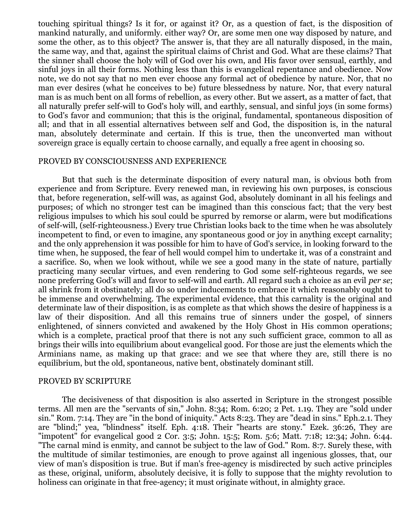touching spiritual things? Is it for, or against it? Or, as a question of fact, is the disposition of mankind naturally, and uniformly. either way? Or, are some men one way disposed by nature, and some the other, as to this object? The answer is, that they are all naturally disposed, in the main, the same way, and that, against the spiritual claims of Christ and God. What are these claims? That the sinner shall choose the holy will of God over his own, and His favor over sensual, earthly, and sinful joys in all their forms. Nothing less than this is evangelical repentance and obedience. Now note, we do not say that no men ever choose any formal act of obedience by nature. Nor, that no man ever desires (what he conceives to be) future blessedness by nature. Nor, that every natural man is as much bent on all forms of rebellion, as every other. But we assert, as a matter of fact, that all naturally prefer self-will to God's holy will, and earthly, sensual, and sinful joys (in some forms) to God's favor and communion; that this is the original, fundamental, spontaneous disposition of all; and that in all essential alternatives between self and God, the disposition is, in the natural man, absolutely determinate and certain. If this is true, then the unconverted man without sovereign grace is equally certain to choose carnally, and equally a free agent in choosing so.

### PROVED BY CONSCIOUSNESS AND EXPERIENCE

But that such is the determinate disposition of every natural man, is obvious both from experience and from Scripture. Every renewed man, in reviewing his own purposes, is conscious that, before regeneration, self-will was, as against God, absolutely dominant in all his feelings and purposes; of which no stronger test can be imagined than this conscious fact; that the very best religious impulses to which his soul could be spurred by remorse or alarm, were but modifications of self-will, (self-righteousness.) Every true Christian looks back to the time when he was absolutely incompetent to find, or even to imagine, any spontaneous good or joy in anything except carnality; and the only apprehension it was possible for him to have of God's service, in looking forward to the time when, he supposed, the fear of hell would compel him to undertake it, was of a constraint and a sacrifice. So, when we look without, while we see a good many in the state of nature, partially practicing many secular virtues, and even rendering to God some self-righteous regards, we see none preferring God's will and favor to self-will and earth. All regard such a choice as an evil *per se*; all shrink from it obstinately; all do so under inducements to embrace it which reasonably ought to be immense and overwhelming. The experimental evidence, that this carnality is the original and determinate law of their disposition, is as complete as that which shows the desire of happiness is a law of their disposition. And all this remains true of sinners under the gospel, of sinners enlightened, of sinners convicted and awakened by the Holy Ghost in His common operations; which is a complete, practical proof that there is not any such sufficient grace, common to all as brings their wills into equilibrium about evangelical good. For those are just the elements which the Arminians name, as making up that grace: and we see that where they are, still there is no equilibrium, but the old, spontaneous, native bent, obstinately dominant still.

### PROVED BY SCRIPTURE

The decisiveness of that disposition is also asserted in Scripture in the strongest possible terms. All men are the "servants of sin," John. 8:34; Rom. 6:20; 2 Pet. 1.19. They are "sold under sin." Rom. 7:14. They are "in the bond of iniquity." Acts 8:23. They are "dead in sins." Eph.2.1. They are "blind;" yea, "blindness" itself. Eph. 4:18. Their "hearts are stony." Ezek. 36:26, They are "impotent" for evangelical good 2 Cor. 3:5; John. 15:5; Rom. 5:6; Matt. 7:18; 12:34; John. 6:44. "The carnal mind is enmity, and cannot be subject to the law of God." Rom. 8:7. Surely these, with the multitude of similar testimonies, are enough to prove against all ingenious glosses, that, our view of man's disposition is true. But if man's free-agency is misdirected by such active principles as these, original, uniform, absolutely decisive, it is folly to suppose that the mighty revolution to holiness can originate in that free-agency; it must originate without, in almighty grace.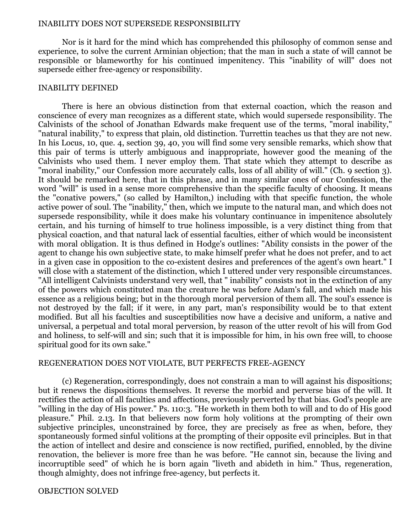#### INABILITY DOES NOT SUPERSEDE RESPONSIBILITY

Nor is it hard for the mind which has comprehended this philosophy of common sense and experience, to solve the current Arminian objection; that the man in such a state of will cannot be responsible or blameworthy for his continued impenitency. This "inability of will" does not supersede either free-agency or responsibility.

#### INABILITY DEFINED

There is here an obvious distinction from that external coaction, which the reason and conscience of every man recognizes as a different state, which would supersede responsibility. The Calvinists of the school of Jonathan Edwards make frequent use of the terms, "moral inability," "natural inability," to express that plain, old distinction. Turrettin teaches us that they are not new. In his Locus, 10, que. 4, section 39, 40, you will find some very sensible remarks, which show that this pair of terms is utterly ambiguous and inappropriate, however good the meaning of the Calvinists who used them. I never employ them. That state which they attempt to describe as "moral inability," our Confession more accurately calls, loss of all ability of will." (Ch. 9 section 3). It should be remarked here, that in this phrase, and in many similar ones of our Confession, the word "will" is used in a sense more comprehensive than the specific faculty of choosing. It means the "conative powers," (so called by Hamilton,) including with that specific function, the whole active power of soul. The "inability," then, which we impute to the natural man, and which does not supersede responsibility, while it does make his voluntary continuance in impenitence absolutely certain, and his turning of himself to true holiness impossible, is a very distinct thing from that physical coaction, and that natural lack of essential faculties, either of which would be inconsistent with moral obligation. It is thus defined in Hodge's outlines: "Ability consists in the power of the agent to change his own subjective state, to make himself prefer what he does not prefer, and to act in a given case in opposition to the co-existent desires and preferences of the agent's own heart." I will close with a statement of the distinction, which I uttered under very responsible circumstances. "All intelligent Calvinists understand very well, that " inability" consists not in the extinction of any of the powers which constituted man the creature he was before Adam's fall, and which made his essence as a religious being; but in the thorough moral perversion of them all. The soul's essence is not destroyed by the fall; if it were, in any part, man's responsibility would be to that extent modified. But all his faculties and susceptibilities now have a decisive and uniform, a native and universal, a perpetual and total moral perversion, by reason of the utter revolt of his will from God and holiness, to self-will and sin; such that it is impossible for him, in his own free will, to choose spiritual good for its own sake."

# REGENERATION DOES NOT VIOLATE, BUT PERFECTS FREE-AGENCY

(c) Regeneration, correspondingly, does not constrain a man to will against his dispositions; but it renews the dispositions themselves. It reverse the morbid and perverse bias of the will. It rectifies the action of all faculties and affections, previously perverted by that bias. God's people are "willing in the day of His power." Ps. 110:3. "He worketh in them both to will and to do of His good pleasure." Phil. 2.13. In that believers now form holy volitions at the prompting of their own subjective principles, unconstrained by force, they are precisely as free as when, before, they spontaneously formed sinful volitions at the prompting of their opposite evil principles. But in that the action of intellect and desire and conscience is now rectified, purified, ennobled, by the divine renovation, the believer is more free than he was before. "He cannot sin, because the living and incorruptible seed" of which he is born again "liveth and abideth in him." Thus, regeneration, though almighty, does not infringe free-agency, but perfects it.

OBJECTION SOLVED